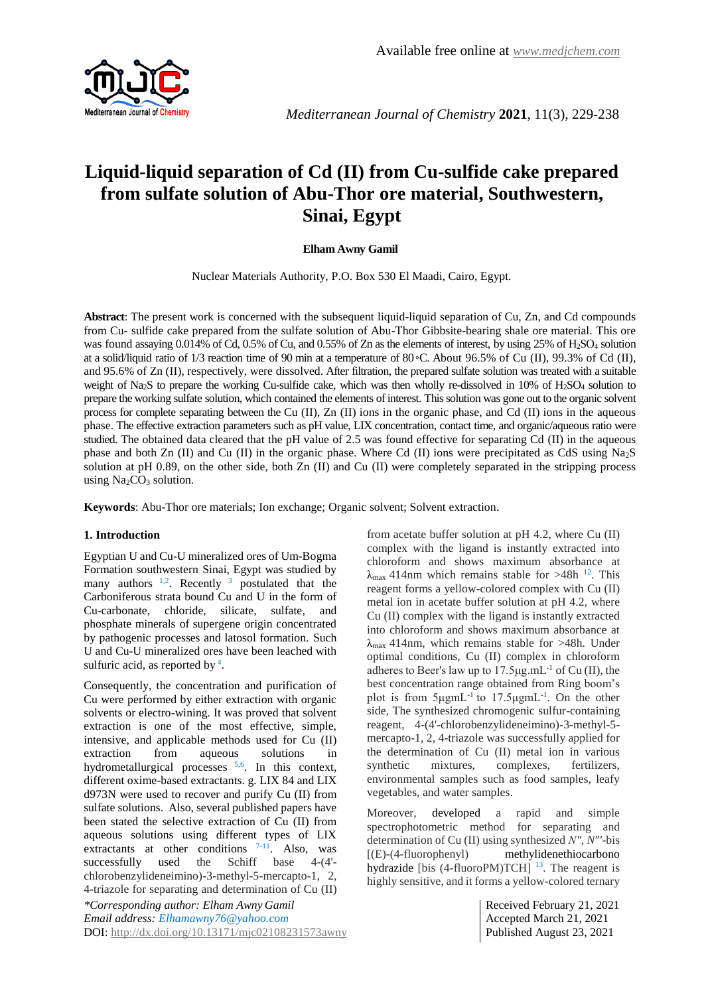

*Mediterranean Journal of Chemistry* **2021**, 11(3), 229-238

# **Liquid-liquid separation of Cd (II) from Cu-sulfide cake prepared from sulfate solution of Abu-Thor ore material, Southwestern, Sinai, Egypt**

# **Elham Awny Gamil**

Nuclear Materials Authority, P.O. Box 530 El Maadi, Cairo, Egypt.

**Abstract**: The present work is concerned with the subsequent liquid-liquid separation of Cu, Zn, and Cd compounds from Cu- sulfide cake prepared from the sulfate solution of Abu-Thor Gibbsite-bearing shale ore material. This ore was found assaying 0.014% of Cd, 0.5% of Cu, and 0.55% of Zn as the elements of interest, by using 25% of H2SO<sup>4</sup> solution at a solid/liquid ratio of 1/3 reaction time of 90 min at a temperature of 80◦C. About 96.5% of Cu (II), 99.3% of Cd (II), and 95.6% of Zn (II), respectively, were dissolved. After filtration, the prepared sulfate solution was treated with a suitable weight of Na<sub>2</sub>S to prepare the working Cu-sulfide cake, which was then wholly re-dissolved in 10% of H<sub>2</sub>SO<sub>4</sub> solution to prepare the working sulfate solution, which contained the elements of interest. This solution was gone out to the organic solvent process for complete separating between the Cu (II), Zn (II) ions in the organic phase, and Cd (II) ions in the aqueous phase. The effective extraction parameters such as pH value, LIX concentration, contact time, and organic/aqueous ratio were studied. The obtained data cleared that the pH value of 2.5 was found effective for separating Cd (II) in the aqueous phase and both Zn (II) and Cu (II) in the organic phase. Where Cd (II) ions were precipitated as CdS using Na2S solution at pH 0.89, on the other side, both Zn (II) and Cu (II) were completely separated in the stripping process using  $Na<sub>2</sub>CO<sub>3</sub>$  solution.

**Keywords**: Abu-Thor ore materials; Ion exchange; Organic solvent; Solvent extraction.

# **1. Introduction**

Egyptian U and Cu-U mineralized ores of Um-Bogma Formation southwestern Sinai, Egypt was studied by many authors  $1,2$ . Recently  $3$  postulated that the Carboniferous strata bound Cu and U in the form of Cu-carbonate, chloride, silicate, sulfate, and phosphate minerals of supergene origin concentrated by pathogenic processes and latosol formation. Such U and Cu-U mineralized ores have been leached with sulfuric acid, as reported by  $4$ .

*\*Corresponding author: Elham Awny Gamil* **Received February 21, 2021** Consequently, the concentration and purification of Cu were performed by either extraction with organic solvents or electro-wining. It was proved that solvent extraction is one of the most effective, simple, intensive, and applicable methods used for Cu (II) extraction from aqueous solutions in hydrometallurgical processes <sup>5,6</sup>. In this context, different oxime-based extractants. g. LIX 84 and LIX d973N were used to recover and purify Cu (II) from sulfate solutions. Also, several published papers have been stated the selective extraction of Cu (II) from aqueous solutions using different types of LIX extractants at other conditions  $7-11$ . Also, was successfully used the Schiff base 4-(4' chlorobenzylideneimino)-3-methyl-5-mercapto-1, 2, 4-triazole for separating and determination of Cu (II)

*Email address: <Elhamawny76@yahoo.com>* Accepted March 21, 2021 DOI:<http://dx.doi.org/10.13171/mjc02108231573awny>Published August 23, 2021

from acetate buffer solution at pH 4.2, where Cu (II) complex with the ligand is instantly extracted into chloroform and shows maximum absorbance at  $\lambda_{\text{max}}$  414nm which remains stable for >48h <sup>12</sup>. This reagent forms a yellow-colored complex with Cu (II) metal ion in acetate buffer solution at pH 4.2, where Cu (II) complex with the ligand is instantly extracted into chloroform and shows maximum absorbance at  $\lambda_{\text{max}}$  414nm, which remains stable for >48h. Under optimal conditions, Cu (II) complex in chloroform adheres to Beer's law up to 17.5μg.mL-1 of Cu (II), the best concentration range obtained from Ring boom's plot is from  $5\mu g m L^{-1}$  to  $17.5\mu g m L^{-1}$ . On the other side, The synthesized chromogenic sulfur-containing reagent, 4-(4'-chlorobenzylideneimino)-3-methyl-5 mercapto-1, 2, 4-triazole was successfully applied for the determination of Cu (II) metal ion in various synthetic mixtures, complexes, fertilizers, environmental samples such as food samples, leafy vegetables, and water samples.

Moreover, developed a rapid and simple spectrophotometric method for separating and determination of Cu (II) using synthesized *N″*, *N*″′-bis [(E)-(4-fluorophenyl) methylidenethiocarbono hydrazide [bis  $(4$ -fluoroPM)TCH]<sup>13</sup>. The reagent is highly sensitive, and it forms a yellow-colored ternary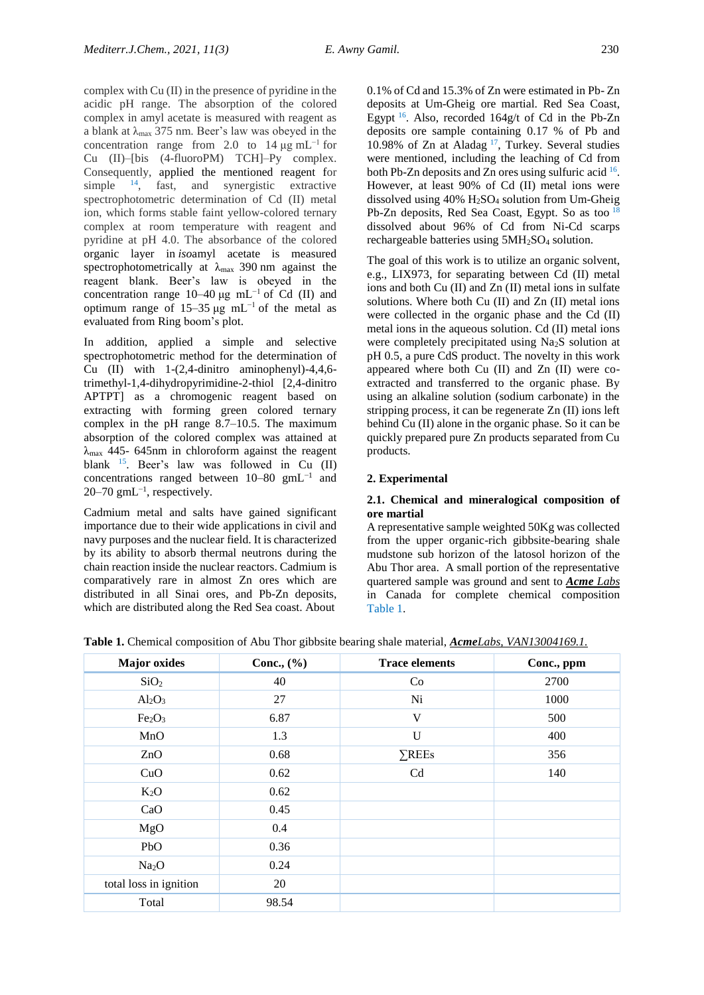complex with Cu (II) in the presence of pyridine in the acidic pH range. The absorption of the colored complex in amyl acetate is measured with reagent as a blank at  $\lambda_{\text{max}}$  375 nm. Beer's law was obeyed in the concentration range from 2.0 to 14  $\mu$ g mL<sup>-1</sup> for Cu (II)–[bis (4-fluoroPM) TCH]–Py complex. Consequently, applied the mentioned reagent for simple <sup>14</sup>, fast, and synergistic extractive spectrophotometric determination of Cd (II) metal ion, which forms stable faint yellow-colored ternary complex at room temperature with reagent and pyridine at pH 4.0. The absorbance of the colored organic layer in *iso*amyl acetate is measured spectrophotometrically at  $\lambda_{\text{max}}$  390 nm against the reagent blank. Beer's law is obeyed in the concentration range  $10-40 \mu g$  mL<sup>-1</sup> of Cd (II) and optimum range of 15–35 μg mL<sup>-1</sup> of the metal as evaluated from Ring boom's plot.

In addition, applied a simple and selective spectrophotometric method for the determination of Cu (II) with 1-(2,4-dinitro aminophenyl)-4,4,6 trimethyl-1,4-dihydropyrimidine-2-thiol [2,4-dinitro APTPT] as a chromogenic reagent based on extracting with forming green colored ternary complex in the pH range 8.7–10.5. The maximum absorption of the colored complex was attained at  $λ_{max}$  445- 645nm in chloroform against the reagent blank <sup>15</sup> . Beer's law was followed in Cu (II) concentrations ranged between 10–80 gmL−1 and  $20-70$  gmL<sup>-1</sup>, respectively.

Cadmium metal and salts have gained significant importance due to their wide applications in civil and navy purposes and the nuclear field. It is characterized by its ability to absorb thermal neutrons during the chain reaction inside the nuclear reactors. Cadmium is comparatively rare in almost Zn ores which are distributed in all Sinai ores, and Pb-Zn deposits, which are distributed along the Red Sea coast. About

0.1% of Cd and 15.3% of Zn were estimated in Pb- Zn deposits at Um-Gheig ore martial. Red Sea Coast, Egypt <sup>16</sup>. Also, recorded 164g/t of Cd in the Pb-Zn deposits ore sample containing 0.17 % of Pb and 10.98% of Zn at Aladag <sup>17</sup> , Turkey. Several studies were mentioned, including the leaching of Cd from both Pb-Zn deposits and Zn ores using sulfuric acid <sup>16</sup>. However, at least 90% of Cd (II) metal ions were dissolved using 40% H2SO<sup>4</sup> solution from Um-Gheig Pb-Zn deposits, Red Sea Coast, Egypt. So as too  $<sup>1</sup>$ </sup> dissolved about 96% of Cd from Ni-Cd scarps rechargeable batteries using 5MH2SO<sup>4</sup> solution.

The goal of this work is to utilize an organic solvent, e.g., LIX973, for separating between Cd (II) metal ions and both Cu (II) and Zn (II) metal ions in sulfate solutions. Where both Cu (II) and Zn (II) metal ions were collected in the organic phase and the Cd (II) metal ions in the aqueous solution. Cd (II) metal ions were completely precipitated using Na<sub>2</sub>S solution at pH 0.5, a pure CdS product. The novelty in this work appeared where both Cu (II) and Zn (II) were coextracted and transferred to the organic phase. By using an alkaline solution (sodium carbonate) in the stripping process, it can be regenerate Zn (II) ions left behind Cu (II) alone in the organic phase. So it can be quickly prepared pure Zn products separated from Cu products.

# **2. Experimental**

## **2.1. Chemical and mineralogical composition of ore martial**

A representative sample weighted 50Kg was collected from the upper organic-rich gibbsite-bearing shale mudstone sub horizon of the latosol horizon of the Abu Thor area. A small portion of the representative quartered sample was ground and sent to *Acme Labs* in Canada for complete chemical composition Table 1.

**Table 1.** Chemical composition of Abu Thor gibbsite bearing shale material, *AcmeLabs, VAN13004169.1.*

| <b>Major</b> oxides            | Conc., $(\% )$ | <b>Trace elements</b> | Conc., ppm |
|--------------------------------|----------------|-----------------------|------------|
| SiO <sub>2</sub>               | 40             | Co                    | 2700       |
| $Al_2O_3$                      | 27             | Ni                    | 1000       |
| Fe <sub>2</sub> O <sub>3</sub> | 6.87           | V                     | 500        |
| MnO                            | 1.3            | U                     | 400        |
| ZnO                            | 0.68           | $\Sigma$ REEs         | 356        |
| CuO                            | 0.62           | Cd                    | 140        |
| $K_2O$                         | 0.62           |                       |            |
| CaO                            | 0.45           |                       |            |
| MgO                            | 0.4            |                       |            |
| PbO                            | 0.36           |                       |            |
| Na <sub>2</sub> O              | 0.24           |                       |            |
| total loss in ignition         | 20             |                       |            |
| Total                          | 98.54          |                       |            |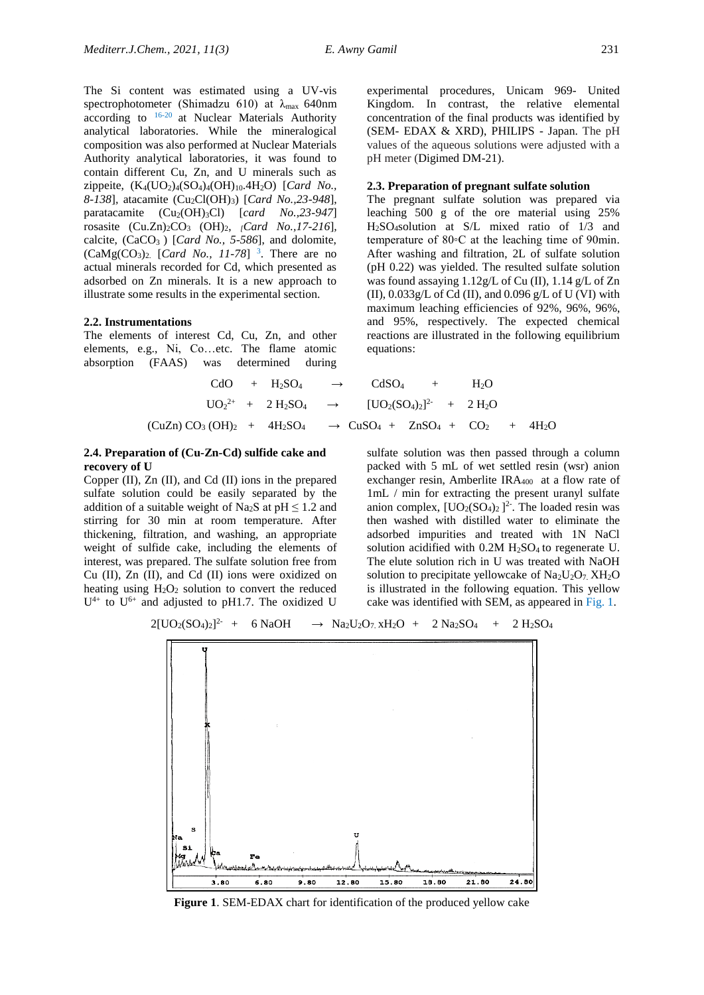The Si content was estimated using a UV-vis spectrophotometer (Shimadzu 610) at  $\lambda_{\text{max}}$  640nm according to  $16-20$  at Nuclear Materials Authority analytical laboratories. While the mineralogical composition was also performed at Nuclear Materials Authority analytical laboratories, it was found to contain different Cu, Zn, and U minerals such as zippeite, (K4(UO2)4(SO4)4(OH)10.4H2O) [*Card No., 8-138*]*,* atacamite (Cu2Cl(OH)3) [*Card No.,23-948*], paratacamite  $(Cu_2(OH)_3Cl)$  [*card No.,23-947*] rosasite (Cu.Zn)2CO<sup>3</sup> (OH)2, *[Card No.,17-216*]*,* calcite, (CaCO3 ) [*Card No., 5-586*], and dolomite,  $(CaMg(CO<sub>3</sub>)<sub>2</sub>$  [*Card No., 11-78*]<sup>3</sup>. There are no actual minerals recorded for Cd, which presented as adsorbed on Zn minerals. It is a new approach to

#### **2.2. Instrumentations**

The elements of interest Cd, Cu, Zn, and other elements, e.g., Ni, Co…etc. The flame atomic absorption (FAAS) was determined during

illustrate some results in the experimental section.

#### **2.3. Preparation of pregnant sulfate solution**

pH meter (Digimed DM-21).

(SEM- EDAX & XRD), PHILIPS - Japan. The pH values of the aqueous solutions were adjusted with a

The pregnant sulfate solution was prepared via leaching 500 g of the ore material using 25% H2SO4solution at S/L mixed ratio of 1/3 and temperature of 80◦C at the leaching time of 90min. After washing and filtration, 2L of sulfate solution (pH 0.22) was yielded. The resulted sulfate solution was found assaying 1.12g/L of Cu (II), 1.14 g/L of Zn (II),  $0.033g/L$  of Cd (II), and  $0.096 g/L$  of U (VI) with maximum leaching efficiencies of 92%, 96%, 96%, and 95%, respectively. The expected chemical reactions are illustrated in the following equilibrium equations:

\n
$$
\text{CdO} + H_2SO_4 \rightarrow \text{CdSO}_4 + H_2O
$$
\n

\n\n $\text{UO}_2^{2+} + 2 H_2SO_4 \rightarrow [\text{UO}_2(SO_4)_2]^{2-} + 2 H_2O$ \n

\n\n $\text{(CuZn) CO}_3 \cdot (\text{OH})_2 + 4H_2SO_4 \rightarrow \text{CuSO}_4 + \text{ZnSO}_4 + \text{CO}_2 + 4H_2O$ \n

#### **2.4. Preparation of (Cu-Zn-Cd) sulfide cake and recovery of U**

Copper (II), Zn (II), and Cd (II) ions in the prepared sulfate solution could be easily separated by the addition of a suitable weight of Na<sub>2</sub>S at  $pH \le 1.2$  and stirring for 30 min at room temperature. After thickening, filtration, and washing, an appropriate weight of sulfide cake, including the elements of interest, was prepared. The sulfate solution free from Cu (II), Zn (II), and Cd (II) ions were oxidized on heating using  $H_2O_2$  solution to convert the reduced  $U^{4+}$  to  $U^{6+}$  and adjusted to pH1.7. The oxidized U

sulfate solution was then passed through a column packed with 5 mL of wet settled resin (wsr) anion exchanger resin, Amberlite  $IRA_{400}$  at a flow rate of 1mL / min for extracting the present uranyl sulfate anion complex,  $[UO_2(SO_4)_2]^2$ . The loaded resin was then washed with distilled water to eliminate the adsorbed impurities and treated with 1N NaCl solution acidified with  $0.2M H_2SO_4$  to regenerate U. The elute solution rich in U was treated with NaOH solution to precipitate yellowcake of  $Na_2U_2O_7$ .  $XH_2O$ is illustrated in the following equation. This yellow cake was identified with SEM, as appeared in Fig. 1.

$$
2[UO_2(SO_4)_2]^2 + 6 NaOH \rightarrow Na_2U_2O_7 \times H_2O + 2 Na_2SO_4 + 2 H_2SO_4
$$



**Figure 1**. SEM-EDAX chart for identification of the produced yellow cake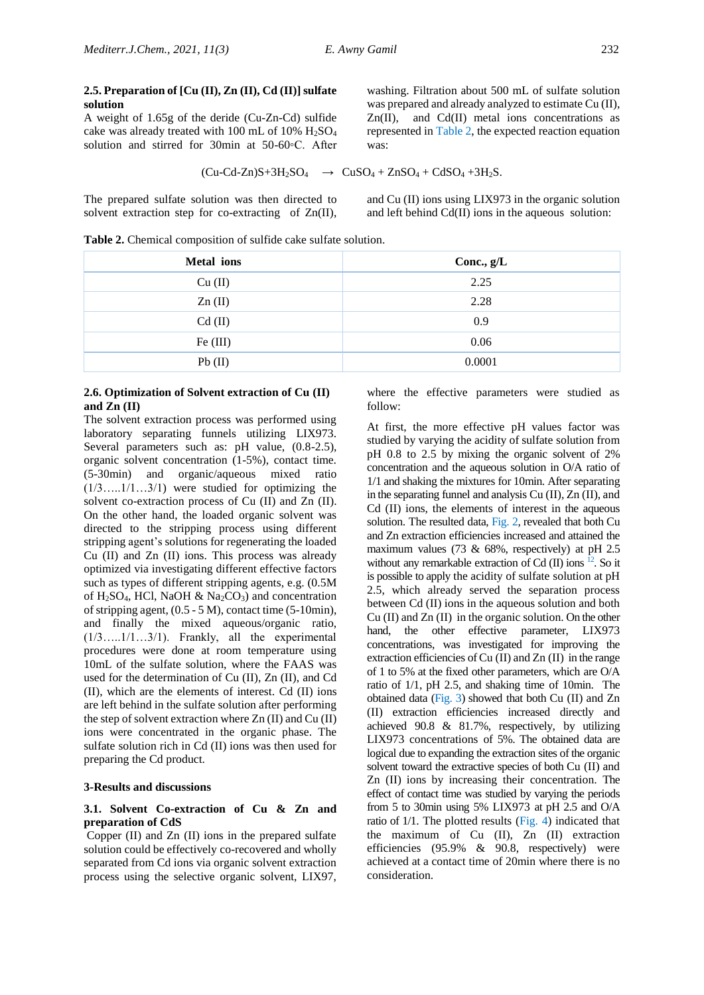### **2.5. Preparation of [Cu (II), Zn (II), Cd (II)] sulfate solution**

A weight of 1.65g of the deride (Cu-Zn-Cd) sulfide cake was already treated with 100 mL of 10%  $H<sub>2</sub>SO<sub>4</sub>$ solution and stirred for 30min at 50-60◦C. After

 $(Cu-Cd-Zn)S+3H_2SO_4 \rightarrow CuSO_4+ZnSO_4+CdSO_4+3H_2S.$ 

The prepared sulfate solution was then directed to solvent extraction step for co-extracting of Zn(II),

washing. Filtration about 500 mL of sulfate solution was prepared and already analyzed to estimate Cu (II),  $Zn(II)$ , and  $Cd(II)$  metal ions concentrations as represented in Table 2, the expected reaction equation was:

$$
d-Zn)S+3H_2SO_4 \rightarrow CuSO_4+ZnSO_4+CdSO_4+3H_2S
$$

and Cu (II) ions using LIX973 in the organic solution and left behind Cd(II) ions in the aqueous solution:

**Table 2.** Chemical composition of sulfide cake sulfate solution.

| Conc., $g/L$ |
|--------------|
| 2.25         |
| 2.28         |
| 0.9          |
| 0.06         |
| 0.0001       |
|              |

#### **2.6. Optimization of Solvent extraction of Cu (II) and Zn (II)**

The solvent extraction process was performed using laboratory separating funnels utilizing LIX973. Several parameters such as: pH value,  $(0.8-2.5)$ , organic solvent concentration (1-5%), contact time. (5-30min) and organic/aqueous mixed ratio  $(1/3, \ldots, 1/1, \ldots, 3/1)$  were studied for optimizing the solvent co-extraction process of Cu (II) and Zn (II). On the other hand, the loaded organic solvent was directed to the stripping process using different stripping agent's solutions for regenerating the loaded Cu (II) and Zn (II) ions. This process was already optimized via investigating different effective factors such as types of different stripping agents, e.g. (0.5M of H<sub>2</sub>SO<sub>4</sub>, HCl, NaOH & Na<sub>2</sub>CO<sub>3</sub>) and concentration of stripping agent,  $(0.5 - 5 M)$ , contact time  $(5-10min)$ , and finally the mixed aqueous/organic ratio, (1/3…..1/1…3/1). Frankly, all the experimental procedures were done at room temperature using 10mL of the sulfate solution, where the FAAS was used for the determination of Cu (II), Zn (II), and Cd (II), which are the elements of interest. Cd (II) ions are left behind in the sulfate solution after performing the step of solvent extraction where Zn (II) and Cu (II) ions were concentrated in the organic phase. The sulfate solution rich in Cd (II) ions was then used for preparing the Cd product.

## **3-Results and discussions**

# **3.1. Solvent Co-extraction of Cu & Zn and preparation of CdS**

Copper (II) and Zn (II) ions in the prepared sulfate solution could be effectively co-recovered and wholly separated from Cd ions via organic solvent extraction process using the selective organic solvent, LIX97, where the effective parameters were studied as follow:

At first, the more effective pH values factor was studied by varying the acidity of sulfate solution from pH 0.8 to 2.5 by mixing the organic solvent of 2% concentration and the aqueous solution in O/A ratio of 1/1 and shaking the mixtures for 10min. After separating in the separating funnel and analysis Cu (II), Zn (II), and Cd (II) ions, the elements of interest in the aqueous solution. The resulted data, Fig. 2, revealed that both Cu and Zn extraction efficiencies increased and attained the maximum values (73 & 68%, respectively) at pH 2.5 without any remarkable extraction of Cd  $(II)$  ions  $^{12}$ . So it is possible to apply the acidity of sulfate solution at pH 2.5, which already served the separation process between Cd (II) ions in the aqueous solution and both Cu (II) and Zn (II) in the organic solution. On the other hand, the other effective parameter, LIX973 concentrations, was investigated for improving the extraction efficiencies of Cu (II) and Zn (II) in the range of 1 to 5% at the fixed other parameters, which are O/A ratio of 1/1, pH 2.5, and shaking time of 10min. The obtained data (Fig. 3) showed that both Cu (II) and Zn (II) extraction efficiencies increased directly and achieved 90.8 & 81.7%, respectively, by utilizing LIX973 concentrations of 5%. The obtained data are logical due to expanding the extraction sites of the organic solvent toward the extractive species of both Cu (II) and Zn (II) ions by increasing their concentration. The effect of contact time was studied by varying the periods from 5 to 30min using 5% LIX973 at pH 2.5 and O/A ratio of 1/1. The plotted results (Fig. 4) indicated that the maximum of Cu (II), Zn (II) extraction efficiencies (95.9% & 90.8, respectively) were achieved at a contact time of 20min where there is no consideration.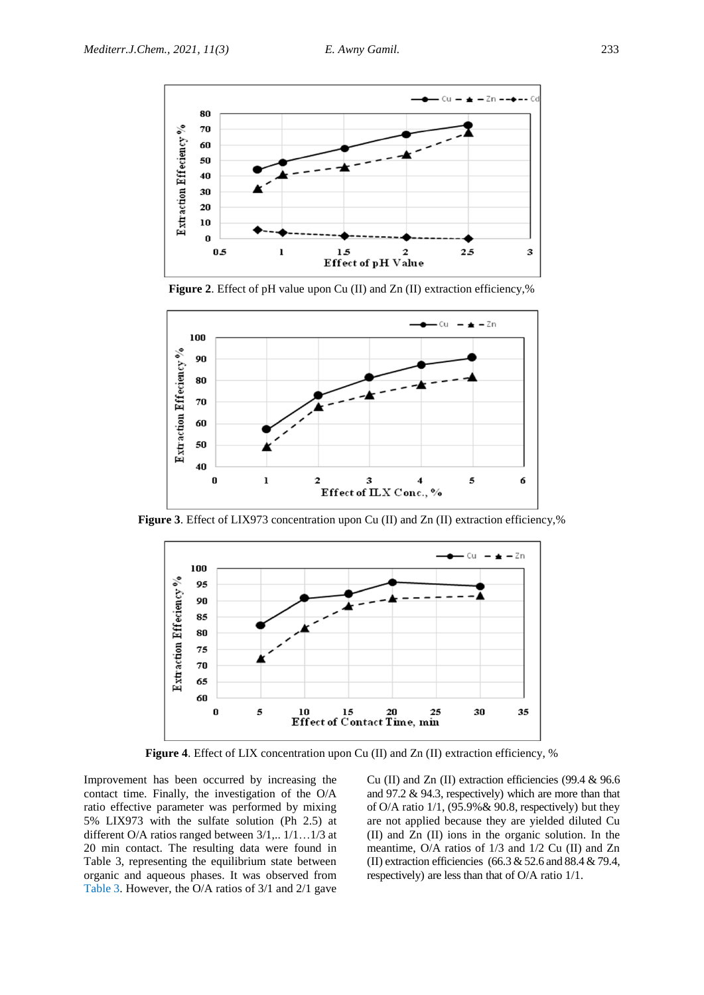

**Figure 2**. Effect of pH value upon Cu (II) and Zn (II) extraction efficiency,%



**Figure 3**. Effect of LIX973 concentration upon Cu (II) and Zn (II) extraction efficiency,%



**Figure 4**. Effect of LIX concentration upon Cu (II) and Zn (II) extraction efficiency, %

Improvement has been occurred by increasing the contact time. Finally, the investigation of the O/A ratio effective parameter was performed by mixing 5% LIX973 with the sulfate solution (Ph 2.5) at different O/A ratios ranged between 3/1,.. 1/1…1/3 at 20 min contact. The resulting data were found in Table 3, representing the equilibrium state between organic and aqueous phases. It was observed from Table 3. However, the O/A ratios of 3/1 and 2/1 gave

Cu (II) and Zn (II) extraction efficiencies (99.4 & 96.6 and 97.2 & 94.3, respectively) which are more than that of O/A ratio 1/1, (95.9%& 90.8, respectively) but they are not applied because they are yielded diluted Cu (II) and Zn (II) ions in the organic solution. In the meantime, O/A ratios of 1/3 and 1/2 Cu (II) and Zn (II) extraction efficiencies (66.3 & 52.6 and 88.4 & 79.4, respectively) are less than that of O/A ratio 1/1.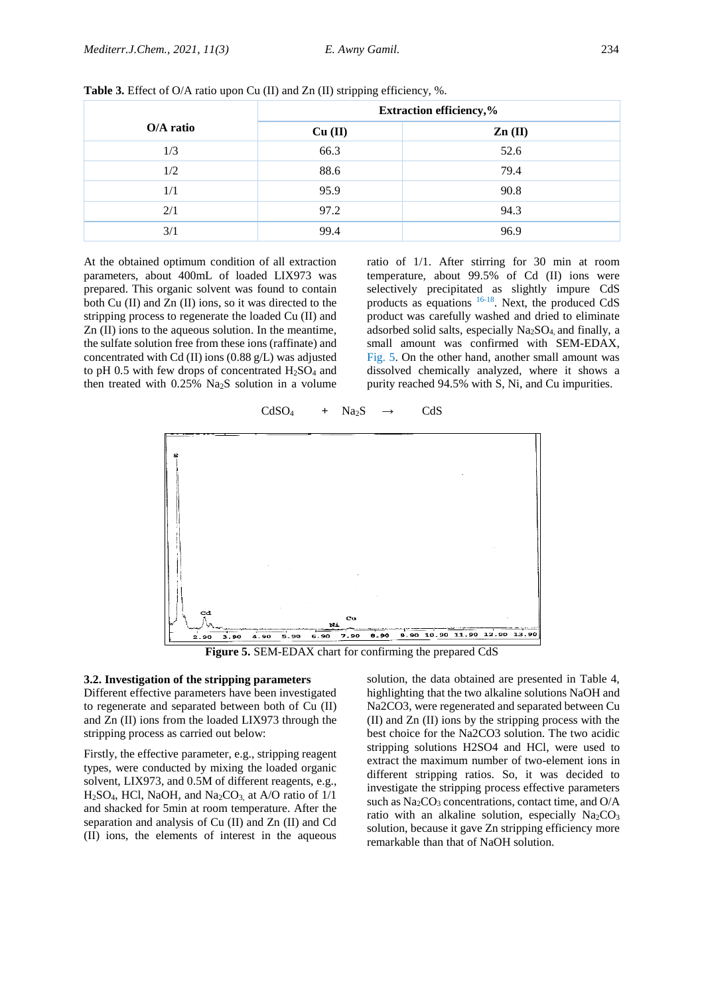|           | <b>Extraction efficiency,%</b> |                            |  |
|-----------|--------------------------------|----------------------------|--|
| O/A ratio | Cu (II)                        | $\mathbf{Zn}(\mathbf{II})$ |  |
| 1/3       | 66.3                           | 52.6                       |  |
| 1/2       | 88.6                           | 79.4                       |  |
| 1/1       | 95.9                           | 90.8                       |  |
| 2/1       | 97.2                           | 94.3                       |  |
| 3/1       | 99.4                           | 96.9                       |  |

**Table 3.** Effect of O/A ratio upon Cu (II) and Zn (II) stripping efficiency, %.

At the obtained optimum condition of all extraction parameters, about 400mL of loaded LIX973 was prepared. This organic solvent was found to contain both Cu (II) and Zn (II) ions, so it was directed to the stripping process to regenerate the loaded Cu (II) and Zn (II) ions to the aqueous solution. In the meantime, the sulfate solution free from these ions (raffinate) and concentrated with Cd (II) ions (0.88 g/L) was adjusted to pH 0.5 with few drops of concentrated  $H_2SO_4$  and then treated with 0.25% Na2S solution in a volume

ratio of 1/1. After stirring for 30 min at room temperature, about 99.5% of Cd (II) ions were selectively precipitated as slightly impure CdS products as equations  $16-18$ . Next, the produced CdS product was carefully washed and dried to eliminate adsorbed solid salts, especially Na2SO4, and finally, a small amount was confirmed with SEM-EDAX, Fig. 5. On the other hand, another small amount was dissolved chemically analyzed, where it shows a purity reached 94.5% with S, Ni, and Cu impurities.



 $CdSO_4$  +  $Na_2S$   $\rightarrow$  CdS

**Figure 5.** SEM-EDAX chart for confirming the prepared CdS

#### **3.2. Investigation of the stripping parameters**

Different effective parameters have been investigated to regenerate and separated between both of Cu (II) and Zn (II) ions from the loaded LIX973 through the stripping process as carried out below:

Firstly, the effective parameter, e.g., stripping reagent types, were conducted by mixing the loaded organic solvent, LIX973, and 0.5M of different reagents, e.g.,  $H<sub>2</sub>SO<sub>4</sub>$ , HCl, NaOH, and Na<sub>2</sub>CO<sub>3</sub>, at A/O ratio of 1/1 and shacked for 5min at room temperature. After the separation and analysis of Cu (II) and Zn (II) and Cd (II) ions, the elements of interest in the aqueous

solution, the data obtained are presented in Table 4, highlighting that the two alkaline solutions NaOH and Na2CO3, were regenerated and separated between Cu (II) and Zn (II) ions by the stripping process with the best choice for the Na2CO3 solution. The two acidic stripping solutions H2SO4 and HCl, were used to extract the maximum number of two-element ions in different stripping ratios. So, it was decided to investigate the stripping process effective parameters such as Na<sub>2</sub>CO<sub>3</sub> concentrations, contact time, and O/A ratio with an alkaline solution, especially  $Na<sub>2</sub>CO<sub>3</sub>$ solution, because it gave Zn stripping efficiency more remarkable than that of NaOH solution.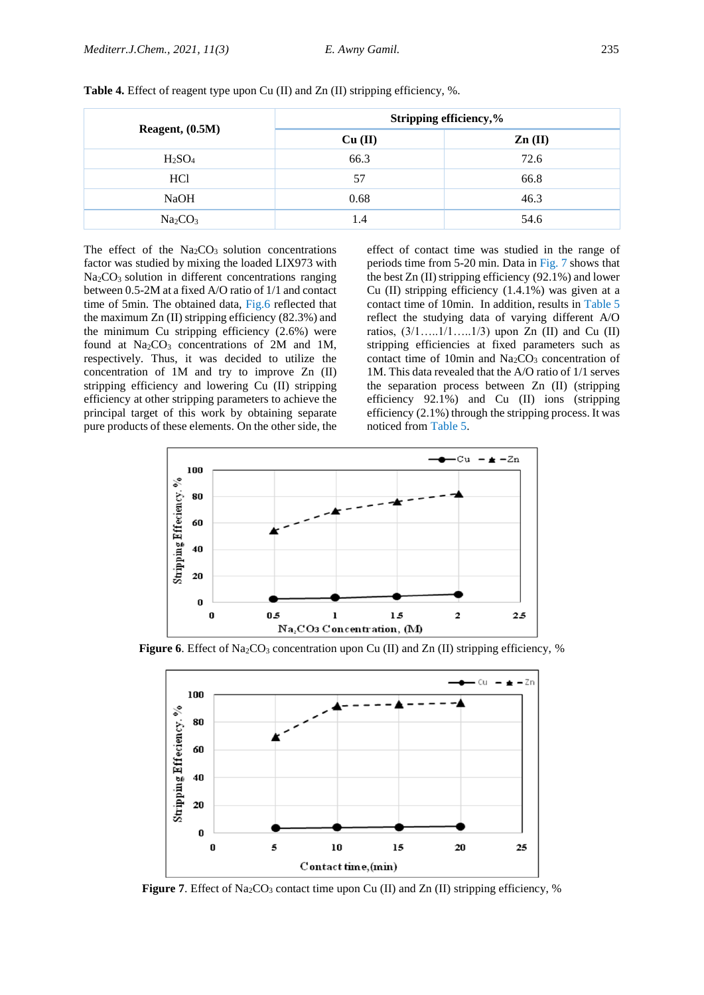| Reagent, $(0.5M)$               | Stripping efficiency,% |                            |  |
|---------------------------------|------------------------|----------------------------|--|
|                                 | Cu (II)                | $\mathbf{Zn}(\mathbf{II})$ |  |
| H <sub>2</sub> SO <sub>4</sub>  | 66.3                   | 72.6                       |  |
| HC <sub>1</sub>                 | 57                     | 66.8                       |  |
| <b>NaOH</b>                     | 0.68                   | 46.3                       |  |
| Na <sub>2</sub> CO <sub>3</sub> | 1.4                    | 54.6                       |  |

**Table 4.** Effect of reagent type upon Cu (II) and Zn (II) stripping efficiency, %.

The effect of the  $Na<sub>2</sub>CO<sub>3</sub>$  solution concentrations factor was studied by mixing the loaded LIX973 with Na<sub>2</sub>CO<sub>3</sub> solution in different concentrations ranging between 0.5-2M at a fixed A/O ratio of 1/1 and contact time of 5min. The obtained data, Fig.6 reflected that the maximum Zn (II) stripping efficiency (82.3%) and the minimum Cu stripping efficiency (2.6%) were found at  $Na_2CO_3$  concentrations of 2M and 1M, respectively. Thus, it was decided to utilize the concentration of 1M and try to improve Zn (II) stripping efficiency and lowering Cu (II) stripping efficiency at other stripping parameters to achieve the principal target of this work by obtaining separate pure products of these elements. On the other side, the

effect of contact time was studied in the range of periods time from 5-20 min. Data in Fig. 7 shows that the best Zn (II) stripping efficiency (92.1%) and lower Cu (II) stripping efficiency (1.4.1%) was given at a contact time of 10min. In addition, results in Table 5 reflect the studying data of varying different A/O ratios,  $(3/1$ ….. $1/1$ …...1/3) upon Zn (II) and Cu (II) stripping efficiencies at fixed parameters such as contact time of 10min and  $Na<sub>2</sub>CO<sub>3</sub>$  concentration of 1M. This data revealed that the A/O ratio of 1/1 serves the separation process between Zn (II) (stripping efficiency 92.1%) and Cu (II) ions (stripping efficiency (2.1%) through the stripping process. It was noticed from Table 5.



**Figure 6**. Effect of Na<sub>2</sub>CO<sub>3</sub> concentration upon Cu (II) and Zn (II) stripping efficiency, %



**Figure 7**. Effect of Na<sub>2</sub>CO<sub>3</sub> contact time upon Cu (II) and Zn (II) stripping efficiency, %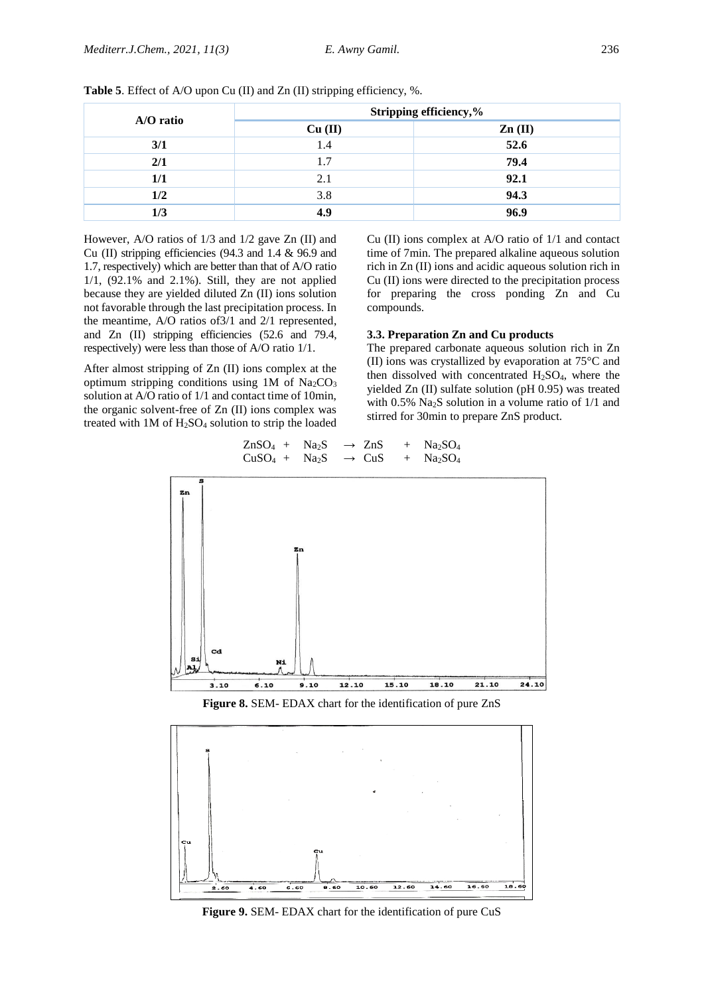| A/O ratio | Stripping efficiency,% |                            |  |
|-----------|------------------------|----------------------------|--|
|           | Cu (II)                | $\mathbf{Zn}(\mathbf{II})$ |  |
| 3/1       | 1.4                    | 52.6                       |  |
| 2/1       | 1.7                    | 79.4                       |  |
| 1/1       | 2.1                    | 92.1                       |  |
| 1/2       | 3.8                    | 94.3                       |  |
| 1/3       | 4.9                    | 96.9                       |  |

**Table 5**. Effect of A/O upon Cu (II) and Zn (II) stripping efficiency, %.

However, A/O ratios of 1/3 and 1/2 gave Zn (II) and Cu (II) stripping efficiencies (94.3 and 1.4 & 96.9 and 1.7, respectively) which are better than that of A/O ratio 1/1, (92.1% and 2.1%). Still, they are not applied because they are yielded diluted Zn (II) ions solution not favorable through the last precipitation process. In the meantime, A/O ratios of3/1 and 2/1 represented, and Zn (II) stripping efficiencies (52.6 and 79.4, respectively) were less than those of A/O ratio 1/1.

After almost stripping of Zn (II) ions complex at the optimum stripping conditions using 1M of Na<sub>2</sub>CO<sub>3</sub> solution at A/O ratio of 1/1 and contact time of 10min, the organic solvent-free of Zn (II) ions complex was treated with 1M of H2SO<sup>4</sup> solution to strip the loaded

Cu (II) ions complex at A/O ratio of 1/1 and contact time of 7min. The prepared alkaline aqueous solution rich in Zn (II) ions and acidic aqueous solution rich in Cu (II) ions were directed to the precipitation process for preparing the cross ponding Zn and Cu compounds.

## **3.3. Preparation Zn and Cu products**

The prepared carbonate aqueous solution rich in Zn (II) ions was crystallized by evaporation at 75°C and then dissolved with concentrated  $H<sub>2</sub>SO<sub>4</sub>$ , where the yielded Zn (II) sulfate solution (pH 0.95) was treated with 0.5% Na2S solution in a volume ratio of 1/1 and stirred for 30min to prepare ZnS product.

$$
\begin{array}{ccccccc}\n\text{ZnSO}_4 & + & \text{Na}_2\text{S} & \rightarrow & \text{ZnS} & + & \text{Na}_2\text{SO}_4 \\
\text{CuSO}_4 & + & \text{Na}_2\text{S} & \rightarrow & \text{CuS} & + & \text{Na}_2\text{SO}_4\n\end{array}
$$



**Figure 8.** SEM- EDAX chart for the identification of pure ZnS



**Figure 9.** SEM- EDAX chart for the identification of pure CuS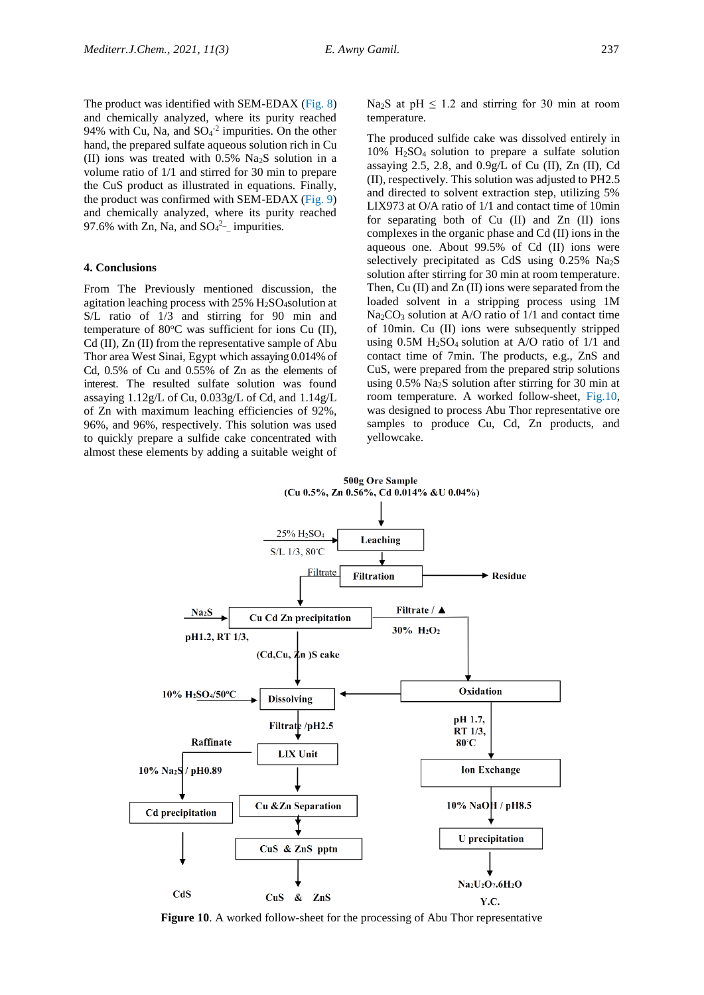The product was identified with SEM-EDAX (Fig. 8) and chemically analyzed, where its purity reached 94% with Cu, Na, and  $SO_4^{-2}$  impurities. On the other hand, the prepared sulfate aqueous solution rich in Cu (II) ions was treated with 0.5% Na2S solution in a volume ratio of 1/1 and stirred for 30 min to prepare the CuS product as illustrated in equations. Finally, the product was confirmed with SEM-EDAX (Fig. 9) and chemically analyzed, where its purity reached 97.6% with Zn, Na, and  $SO_4^2$ - impurities.

#### **4. Conclusions**

From The Previously mentioned discussion, the agitation leaching process with 25% H2SO4solution at S/L ratio of 1/3 and stirring for 90 min and temperature of 80°C was sufficient for ions Cu (II), Cd (II), Zn (II) from the representative sample of Abu Thor area West Sinai, Egypt which assaying 0.014% of Cd, 0.5% of Cu and 0.55% of Zn as the elements of interest. The resulted sulfate solution was found assaying 1.12g/L of Cu, 0.033g/L of Cd, and 1.14g/L of Zn with maximum leaching efficiencies of 92%, 96%, and 96%, respectively. This solution was used to quickly prepare a sulfide cake concentrated with almost these elements by adding a suitable weight of

Na<sub>2</sub>S at pH  $\leq$  1.2 and stirring for 30 min at room temperature.

The produced sulfide cake was dissolved entirely in 10% H2SO4 solution to prepare a sulfate solution assaying 2.5, 2.8, and  $0.9g/L$  of Cu (II), Zn (II), Cd (II), respectively. This solution was adjusted to PH2.5 and directed to solvent extraction step, utilizing 5% LIX973 at O/A ratio of 1/1 and contact time of 10min for separating both of Cu (II) and Zn (II) ions complexes in the organic phase and Cd (II) ions in the aqueous one. About 99.5% of Cd (II) ions were selectively precipitated as CdS using  $0.25\%$  Na<sub>2</sub>S solution after stirring for 30 min at room temperature. Then, Cu (II) and Zn (II) ions were separated from the loaded solvent in a stripping process using 1M  $Na<sub>2</sub>CO<sub>3</sub>$  solution at A/O ratio of 1/1 and contact time of 10min. Cu (II) ions were subsequently stripped using 0.5M H2SO4 solution at A/O ratio of 1/1 and contact time of 7min. The products, e.g., ZnS and CuS, were prepared from the prepared strip solutions using  $0.5\%$  Na<sub>2</sub>S solution after stirring for 30 min at room temperature. A worked follow-sheet, Fig.10, was designed to process Abu Thor representative ore samples to produce Cu, Cd, Zn products, and yellowcake.



**Figure 10**. A worked follow-sheet for the processing of Abu Thor representative